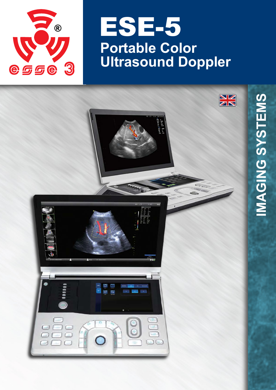

# **Portable Color Ultrasound Doppler** ESE-5

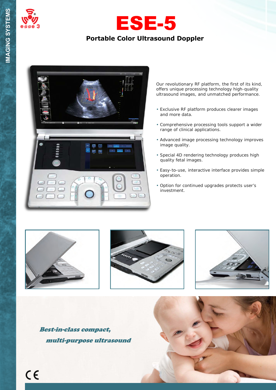





Our revolutionary RF platform, the first of its kind, offers unique processing technology high-quality ultrasound images, and unmatched performance.

- Exclusive RF platform produces clearer images and more data.
- Comprehensive processing tools support a wider range of clinical applications.
- Advanced image processing technology improves image quality.
- Special 4D rendering technology produces high quality fetal images.
- Easy-to-use, interactive interface provides simple operation.
- Option for continued upgrades protects user's investment.







Best-in-class compact, multi-purpose ultrasound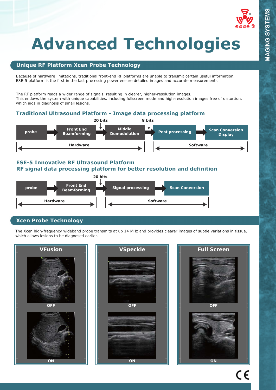

# **Advanced Technologies**

# **Unique RF Platform Xcen Probe Technology**

Because of hardware limitations, traditional front-end RF platforms are unable to transmit certain useful information. ESE-5 platform is the first in the fast processing power ensure detailed images and accurate measurements.

The RF platform reads a wider range of signals, resulting in clearer, higher-resolution images. This endows the system with unique capabilities, including fullscreen mode and high-resolution images free of distortion, which aids in diagnosis of small lesions.

## **Traditional Ultrasound Platform - Image data processing platform**



## **ESE-5 Innovative RF Ultrasound Platform RF signal data processing platform for better resolution and definition**



# **Xcen Probe Technology**

The Xcen high-frequency wideband probe transmits at up 14 MHz and provides clearer images of subtle variations in tissue, which allows lesions to be diagnosed earlier.